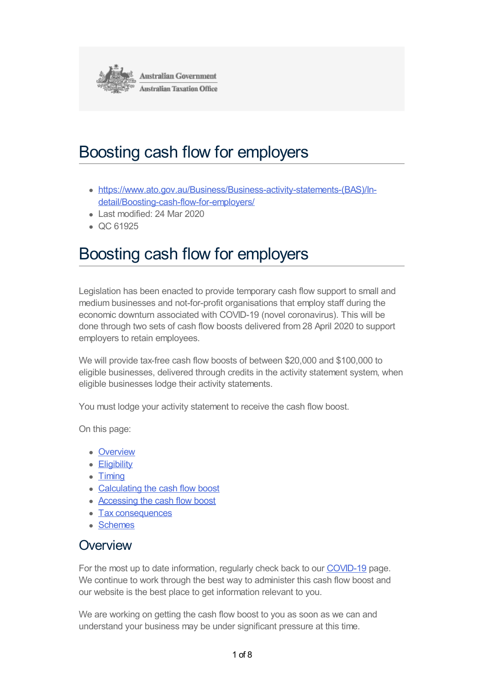<span id="page-0-0"></span>

# Boosting cash flow for employers

- [https://www.ato.gov.au/Business/Business-activity-statements-\(BAS\)/In](https://www.ato.gov.au/Business/Business-activity-statements-(BAS)/In-detail/Boosting-cash-flow-for-employers/)detail/Boosting-cash-flow-for-employers/
- Last modified: 24 Mar 2020
- $\bullet$  QC 61925

# Boosting cash flow for employers

Legislation has been enacted to provide temporary cash flow support to small and medium businesses and not-for-profit organisations that employ staff during the economic downturn associated with COVID-19 (novel coronavirus). This will be done through two sets of cash flow boosts delivered from 28 April 2020 to support employers to retain employees.

We will provide tax-free cash flow boosts of between \$20,000 and \$100,000 to eligible businesses, delivered through credits in the activity statement system, when eligible businesses lodge their activity statements.

You must lodge your activity statement to receive the cash flow boost.

On this page:

- [Overview](#page-0-0)
- [Eligibility](#page-0-0)
- [Timing](#page-0-0)
- [Calculating](#page-0-0) the cash flow boost
- [Accessing](#page-0-0) the cash flow boost
- Tax [consequences](#page-0-0)
- [Schemes](#page-0-0)

### **Overview**

For the most up to date information, regularly check back to our [COVID-19](https://www.ato.gov.au/Individuals/Dealing-with-disasters/In-detail/Specific-disasters/COVID-19/) page. We continue to work through the best way to administer this cash flow boost and our website is the best place to get information relevant to you.

We are working on getting the cash flow boost to you as soon as we can and understand your business may be under significant pressure at this time.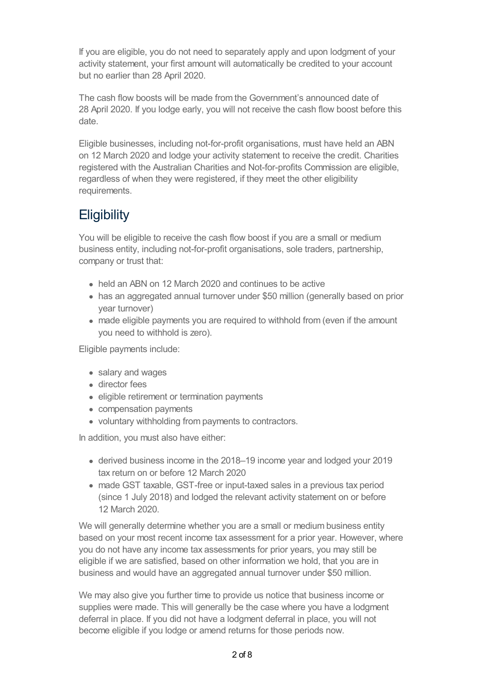If you are eligible, you do not need to separately apply and upon lodgment of your activity statement, your first amount will automatically be credited to your account but no earlier than 28 April 2020.

The cash flow boosts will be made from the Government's announced date of 28 April 2020. If you lodge early, you will not receive the cash flow boost before this date.

Eligible businesses, including not-for-profit organisations, must have held an ABN on 12 March 2020 and lodge your activity statement to receive the credit. Charities registered with the Australian Charities and Not-for-profits Commission are eligible, regardless of when they were registered, if they meet the other eligibility requirements.

## **Eligibility**

You will be eligible to receive the cash flow boost if you are a small or medium business entity, including not-for-profit organisations, sole traders, partnership, company or trust that:

- held an ABN on 12 March 2020 and continues to be active
- has an aggregated annual turnover under \$50 million (generally based on prior year turnover)
- made eligible payments you are required to withhold from (even if the amount you need to withhold is zero).

Eligible payments include:

- salary and wages
- director fees
- eligible retirement or termination payments
- compensation payments
- voluntary withholding from payments to contractors.

In addition, you must also have either:

- derived business income in the 2018–19 income year and lodged your 2019 tax return on or before 12 March 2020
- made GST taxable, GST-free or input-taxed sales in a previous tax period (since 1 July 2018) and lodged the relevant activity statement on or before 12 March 2020.

We will generally determine whether you are a small or medium business entity based on your most recent income tax assessment for a prior year. However, where you do not have any income tax assessments for prior years, you may still be eligible if we are satisfied, based on other information we hold, that you are in business and would have an aggregated annual turnover under \$50 million.

We may also give you further time to provide us notice that business income or supplies were made. This will generally be the case where you have a lodgment deferral in place. If you did not have a lodgment deferral in place, you will not become eligible if you lodge or amend returns for those periods now.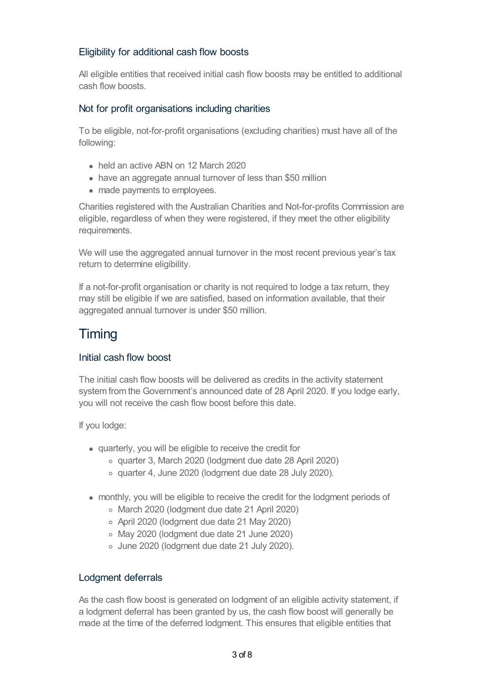#### Eligibility for additional cash flow boosts

All eligible entities that received initial cash flow boosts may be entitled to additional cash flow boosts.

#### Not for profit organisations including charities

To be eligible, not-for-profit organisations (excluding charities) must have all of the following:

- held an active ABN on 12 March 2020
- have an aggregate annual turnover of less than \$50 million
- made payments to employees.

Charities registered with the Australian Charities and Not-for-profits Commission are eligible, regardless of when they were registered, if they meet the other eligibility requirements.

We will use the aggregated annual turnover in the most recent previous year's tax return to determine eligibility.

If a not-for-profit organisation or charity is not required to lodge a tax return, they may still be eligible if we are satisfied, based on information available, that their aggregated annual turnover is under \$50 million.

## **Timing**

#### Initial cash flow boost

The initial cash flow boosts will be delivered as credits in the activity statement system from the Government's announced date of 28 April 2020. If you lodge early, you will not receive the cash flow boost before this date.

If you lodge:

- quarterly, you will be eligible to receive the credit for
	- quarter 3, March 2020 (lodgment due date 28 April 2020)
	- quarter 4, June 2020 (lodgment due date 28 July 2020).
- monthly, you will be eligible to receive the credit for the lodgment periods of
	- March 2020 (lodgment due date 21 April 2020)
	- April 2020 (lodgment due date 21 May 2020)
	- May 2020 (lodgment due date 21 June 2020)
	- June 2020 (lodgment due date 21 July 2020).

#### Lodgment deferrals

As the cash flow boost is generated on lodgment of an eligible activity statement, if a lodgment deferral has been granted by us, the cash flow boost will generally be made at the time of the deferred lodgment. This ensures that eligible entities that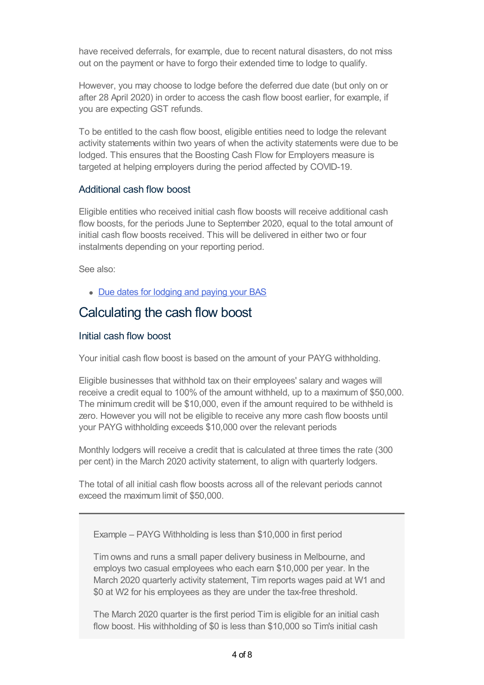have received deferrals, for example, due to recent natural disasters, do not miss out on the payment or have to forgo their extended time to lodge to qualify.

However, you may choose to lodge before the deferred due date (but only on or after 28 April 2020) in order to access the cash flow boost earlier, for example, if you are expecting GST refunds.

To be entitled to the cash flow boost, eligible entities need to lodge the relevant activity statements within two years of when the activity statements were due to be lodged. This ensures that the Boosting Cash Flow for Employers measure is targeted at helping employers during the period affected by COVID-19.

#### Additional cash flow boost

Eligible entities who received initial cash flow boosts will receive additional cash flow boosts, for the periods June to September 2020, equal to the total amount of initial cash flow boosts received. This will be delivered in either two or four instalments depending on your reporting period.

See also:

• Due dates for [lodging](https://www.ato.gov.au/Business/Business-activity-statements-(BAS)/Due-dates-for-lodging-and-paying-your-BAS/) and paying your BAS

## Calculating the cash flow boost

#### Initial cash flow boost

Your initial cash flow boost is based on the amount of your PAYG withholding.

Eligible businesses that withhold tax on their employees' salary and wages will receive a credit equal to 100% of the amount withheld, up to a maximum of \$50,000. The minimum credit will be \$10,000, even if the amount required to be withheld is zero. However you will not be eligible to receive any more cash flow boosts until your PAYG withholding exceeds \$10,000 over the relevant periods

Monthly lodgers will receive a credit that is calculated at three times the rate (300 per cent) in the March 2020 activity statement, to align with quarterly lodgers.

The total of all initial cash flow boosts across all of the relevant periods cannot exceed the maximum limit of \$50,000.

Example – PAYG Withholding is less than \$10,000 in first period

Tim owns and runs a small paper delivery business in Melbourne, and employs two casual employees who each earn \$10,000 per year. In the March 2020 quarterly activity statement, Tim reports wages paid at W1 and \$0 at W2 for his employees as they are under the tax-free threshold.

The March 2020 quarter is the first period Tim is eligible for an initial cash flow boost. His withholding of \$0 is less than \$10,000 so Tim's initial cash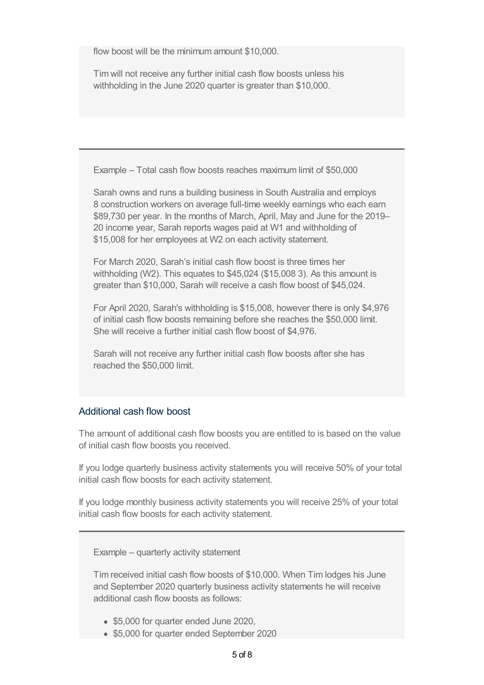flow boost will be the minimum amount \$10,000.

Tim will not receive any further initial cash flow boosts unless his withholding in the June 2020 quarter is greater than \$10,000.

Example – Total cash flow boosts reaches maximum limit of \$50,000

Sarah owns and runs a building business in South Australia and employs 8 construction workers on average full-time weekly earnings who each earn \$89,730 per year. In the months of March, April, May and June for the 2019– 20 income year, Sarah reports wages paid at W1 and withholding of \$15,008 for her employees at W2 on each activity statement.

For March 2020, Sarah's initial cash flow boost is three times her withholding (W2). This equates to \$45,024 (\$15,008 3). As this amount is greater than \$10,000, Sarah will receive a cash flow boost of \$45,024.

For April 2020, Sarah's withholding is \$15,008, however there is only \$4,976 of initial cash flow boosts remaining before she reaches the \$50,000 limit. She will receive a further initial cash flow boost of \$4,976.

Sarah will not receive any further initial cash flow boosts after she has reached the \$50,000 limit.

#### Additional cash flow boost

The amount of additional cash flow boosts you are entitled to is based on the value of initial cash flow boosts you received.

If you lodge quarterly business activity statements you will receive 50% of your total initial cash flow boosts for each activity statement.

If you lodge monthly business activity statements you will receive 25% of your total initial cash flow boosts for each activity statement.

Example – quarterly activity statement

Tim received initial cash flow boosts of \$10,000. When Tim lodges his June and September 2020 quarterly business activity statements he will receive additional cash flow boosts as follows:

- \$5,000 for quarter ended June 2020,
- \$5,000 for quarter ended September 2020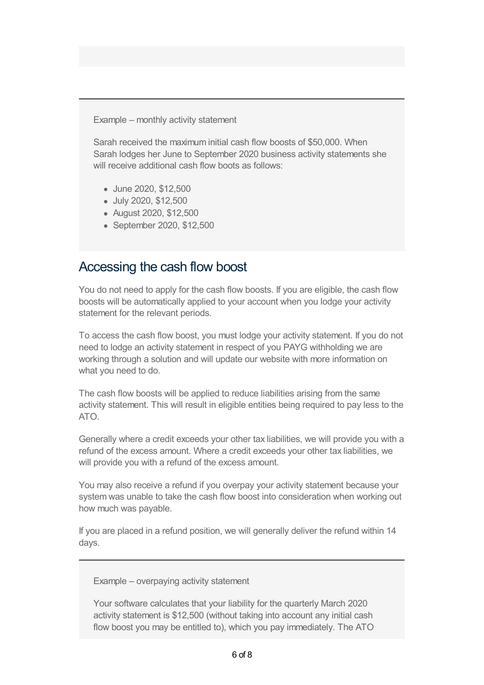Example – monthly activity statement

Sarah received the maximum initial cash flow boosts of \$50,000. When Sarah lodges her June to September 2020 business activity statements she will receive additional cash flow boots as follows:

- June 2020, \$12,500
- July 2020, \$12,500
- August 2020, \$12,500
- September 2020, \$12,500

## Accessing the cash flow boost

You do not need to apply for the cash flow boosts. If you are eligible, the cash flow boosts will be automatically applied to your account when you lodge your activity statement for the relevant periods.

To access the cash flow boost, you must lodge your activity statement. If you do not need to lodge an activity statement in respect of you PAYG withholding we are working through a solution and will update our website with more information on what you need to do.

The cash flow boosts will be applied to reduce liabilities arising from the same activity statement. This will result in eligible entities being required to pay less to the  $ATO$ 

Generally where a credit exceeds your other tax liabilities, we will provide you with a refund of the excess amount. Where a credit exceeds your other tax liabilities, we will provide you with a refund of the excess amount.

You may also receive a refund if you overpay your activity statement because your system was unable to take the cash flow boost into consideration when working out how much was payable.

If you are placed in a refund position, we will generally deliver the refund within 14 days.

Example – overpaying activity statement

Your software calculates that your liability for the quarterly March 2020 activity statement is \$12,500 (without taking into account any initial cash flow boost you may be entitled to), which you pay immediately. The ATO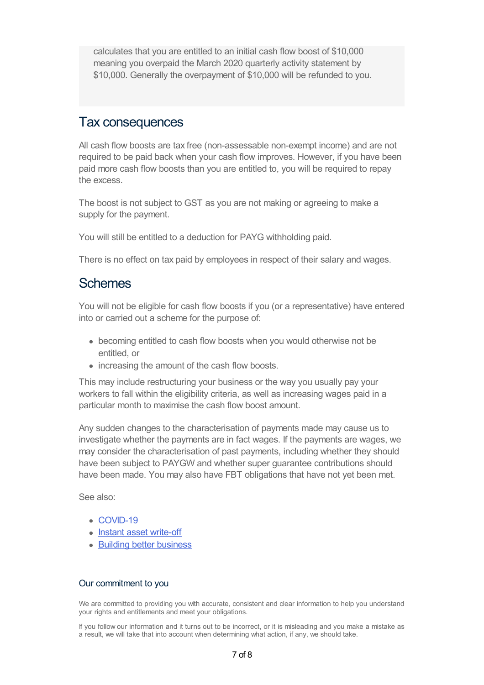calculates that you are entitled to an initial cash flow boost of \$10,000 meaning you overpaid the March 2020 quarterly activity statement by \$10,000. Generally the overpayment of \$10,000 will be refunded to you.

## Tax consequences

All cash flow boosts are tax free (non-assessable non-exempt income) and are not required to be paid back when your cash flow improves. However, if you have been paid more cash flow boosts than you are entitled to, you will be required to repay the excess.

The boost is not subject to GST as you are not making or agreeing to make a supply for the payment.

You will still be entitled to a deduction for PAYG withholding paid.

There is no effect on tax paid by employees in respect of their salary and wages.

### **Schemes**

You will not be eligible for cash flow boosts if you (or a representative) have entered into or carried out a scheme for the purpose of:

- becoming entitled to cash flow boosts when you would otherwise not be entitled, or
- increasing the amount of the cash flow boosts.

This may include restructuring your business or the way you usually pay your workers to fall within the eligibility criteria, as well as increasing wages paid in a particular month to maximise the cash flow boost amount.

Any sudden changes to the characterisation of payments made may cause us to investigate whether the payments are in fact wages. If the payments are wages, we may consider the characterisation of past payments, including whether they should have been subject to PAYGW and whether super guarantee contributions should have been made. You may also have FBT obligations that have not yet been met.

See also:

- [COVID-19](https://www.ato.gov.au/Individuals/Dealing-with-disasters/In-detail/Specific-disasters/COVID-19/)
- Instant asset [write-off](https://www.ato.gov.au/Business/Depreciation-and-capital-expenses-and-allowances/Simpler-depreciation-for-small-business/Instant-asset-write-off/)
- Building better [business](https://www.ato.gov.au/Business/Depreciation-and-capital-expenses-and-allowances/Backing-business-investment---accelerated-depreciation/)

#### Our commitment to you

We are committed to providing you with accurate, consistent and clear information to help you understand your rights and entitlements and meet your obligations.

If you follow our information and it turns out to be incorrect, or it is misleading and you make a mistake as a result, we will take that into account when determining what action, if any, we should take.